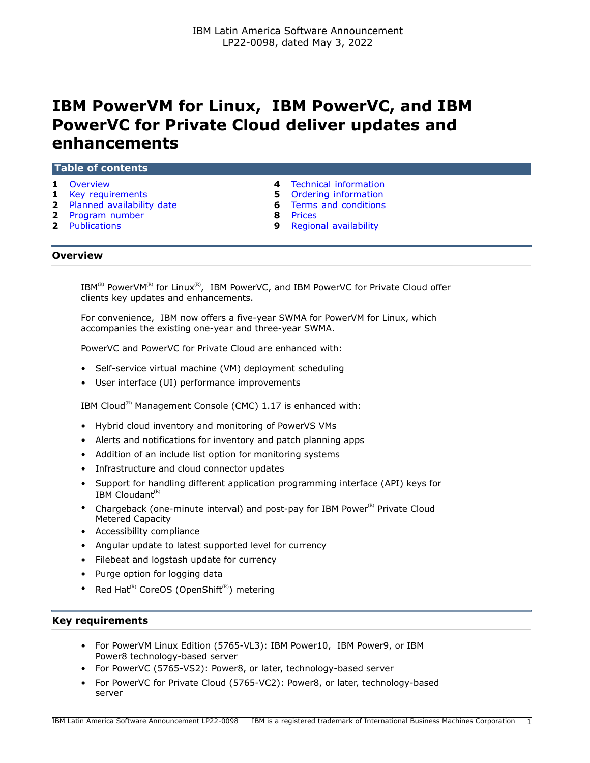# **IBM PowerVM for Linux, IBM PowerVC, and IBM PowerVC for Private Cloud deliver updates and enhancements**

#### **Table of contents**

- 
- **1** [Key requirements](#page-0-1) **5** [Ordering information](#page-4-0)
- **2** [Planned availability date](#page-1-0) **6** [Terms and conditions](#page-5-0)
- **2** [Program number](#page-1-1) **8** [Prices](#page-7-0)
- 
- **1** [Overview](#page-0-0) **4** [Technical information](#page-3-0)
	-
	-
	-
- **2** [Publications](#page-1-2) **9** [Regional availability](#page-8-0)

# <span id="page-0-0"></span>**Overview**

 $IBM^{(R)}$  PowerVM(R) for Linux(R), IBM PowerVC, and IBM PowerVC for Private Cloud offer clients key updates and enhancements.

For convenience, IBM now offers a five-year SWMA for PowerVM for Linux, which accompanies the existing one-year and three-year SWMA.

PowerVC and PowerVC for Private Cloud are enhanced with:

- Self-service virtual machine (VM) deployment scheduling
- User interface (UI) performance improvements

IBM Cloud<sup>(R)</sup> Management Console (CMC) 1.17 is enhanced with:

- Hybrid cloud inventory and monitoring of PowerVS VMs
- Alerts and notifications for inventory and patch planning apps
- Addition of an include list option for monitoring systems
- Infrastructure and cloud connector updates
- Support for handling different application programming interface (API) keys for IBM Cloudant $(R)$
- Chargeback (one-minute interval) and post-pay for IBM Power $(R)$  Private Cloud Metered Capacity
- Accessibility compliance
- Angular update to latest supported level for currency
- Filebeat and logstash update for currency
- Purge option for logging data
- Red Hat<sup>(R)</sup> CoreOS (OpenShift<sup>(R)</sup>) metering

# <span id="page-0-1"></span>**Key requirements**

- For PowerVM Linux Edition (5765-VL3): IBM Power10, IBM Power9, or IBM Power8 technology-based server
- For PowerVC (5765-VS2): Power8, or later, technology-based server
- For PowerVC for Private Cloud (5765-VC2): Power8, or later, technology-based server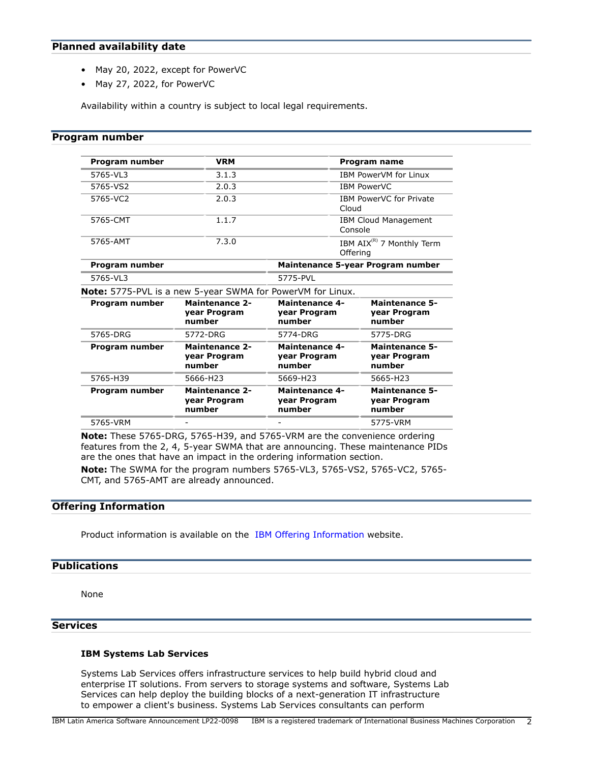# <span id="page-1-0"></span>**Planned availability date**

- May 20, 2022, except for PowerVC
- May 27, 2022, for PowerVC

Availability within a country is subject to local legal requirements.

# <span id="page-1-1"></span>**Program number**

| Program number | <b>VRM</b><br><b>Program name</b>               |                                                                   |                                                   |
|----------------|-------------------------------------------------|-------------------------------------------------------------------|---------------------------------------------------|
| 5765-VL3       | 3.1.3                                           |                                                                   | <b>IBM PowerVM for Linux</b>                      |
| 5765-VS2       | 2.0.3                                           |                                                                   | <b>IBM PowerVC</b>                                |
| 5765-VC2       | 2.0.3                                           | Cloud                                                             | IBM PowerVC for Private                           |
| 5765-CMT       | 1.1.7                                           |                                                                   | <b>IBM Cloud Management</b><br>Console            |
| 5765-AMT       | 7.3.0                                           |                                                                   | IBM AIX <sup>(R)</sup> 7 Monthly Term<br>Offering |
| Program number |                                                 |                                                                   | Maintenance 5-year Program number                 |
| 5765-VL3       | 5775-PVL                                        |                                                                   |                                                   |
|                |                                                 | <b>Note:</b> 5775-PVL is a new 5-year SWMA for PowerVM for Linux. |                                                   |
| Program number | <b>Maintenance 2-</b><br>year Program<br>number | <b>Maintenance 4-</b><br>year Program<br>number                   | <b>Maintenance 5-</b><br>year Program<br>number   |
| 5765-DRG       | 5772-DRG                                        | 5774-DRG                                                          | 5775-DRG                                          |
| Program number | <b>Maintenance 2-</b><br>year Program<br>number | <b>Maintenance 4-</b><br>year Program<br>number                   | <b>Maintenance 5-</b><br>year Program<br>number   |
| 5765-H39       | 5666-H23                                        | 5669-H23                                                          | 5665-H23                                          |
| Program number | <b>Maintenance 2-</b><br>year Program<br>number | <b>Maintenance 4-</b><br>year Program<br>number                   | <b>Maintenance 5-</b><br>year Program<br>number   |
| 5765-VRM       |                                                 |                                                                   | 5775-VRM                                          |

**Note:** These 5765-DRG, 5765-H39, and 5765-VRM are the convenience ordering features from the 2, 4, 5-year SWMA that are announcing. These maintenance PIDs are the ones that have an impact in the ordering information section.

**Note:** The SWMA for the program numbers 5765-VL3, 5765-VS2, 5765-VC2, 5765- CMT, and 5765-AMT are already announced.

# **Offering Information**

Product information is available on the [IBM Offering Information](http://www.ibm.com/common/ssi) website.

# <span id="page-1-2"></span>**Publications**

None

# **Services**

# **IBM Systems Lab Services**

Systems Lab Services offers infrastructure services to help build hybrid cloud and enterprise IT solutions. From servers to storage systems and software, Systems Lab Services can help deploy the building blocks of a next-generation IT infrastructure to empower a client's business. Systems Lab Services consultants can perform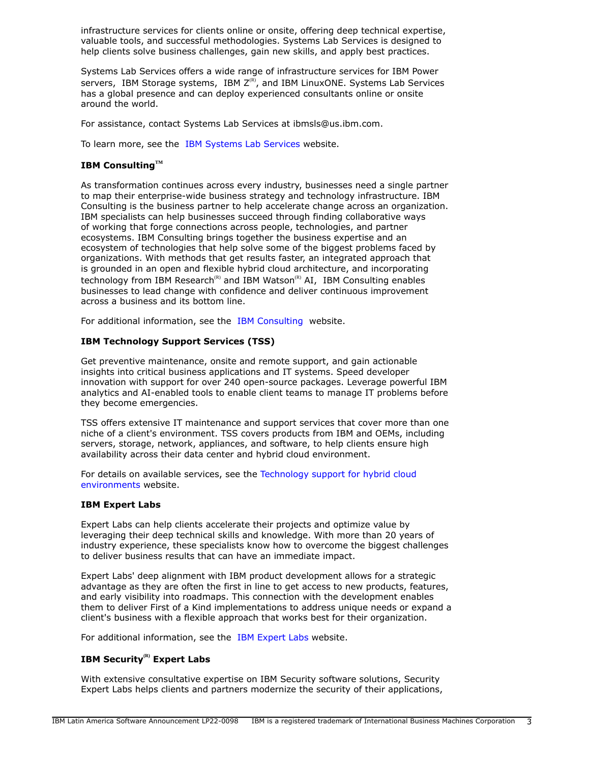infrastructure services for clients online or onsite, offering deep technical expertise, valuable tools, and successful methodologies. Systems Lab Services is designed to help clients solve business challenges, gain new skills, and apply best practices.

Systems Lab Services offers a wide range of infrastructure services for IBM Power servers, IBM Storage systems, IBM  $Z^{(R)}$ , and IBM LinuxONE. Systems Lab Services has a global presence and can deploy experienced consultants online or onsite around the world.

For assistance, contact Systems Lab Services at ibmsls@us.ibm.com.

To learn more, see the [IBM Systems Lab Services](https://www.ibm.com/it-infrastructure/services/lab-services) website.

# **IBM ConsultingTM**

As transformation continues across every industry, businesses need a single partner to map their enterprise-wide business strategy and technology infrastructure. IBM Consulting is the business partner to help accelerate change across an organization. IBM specialists can help businesses succeed through finding collaborative ways of working that forge connections across people, technologies, and partner ecosystems. IBM Consulting brings together the business expertise and an ecosystem of technologies that help solve some of the biggest problems faced by organizations. With methods that get results faster, an integrated approach that is grounded in an open and flexible hybrid cloud architecture, and incorporating technology from IBM Research<sup>(R)</sup> and IBM Watson<sup>(R)</sup> AI, IBM Consulting enables businesses to lead change with confidence and deliver continuous improvement across a business and its bottom line.

For additional information, see the [IBM Consulting](https://www.ibm.com/consulting) website.

# **IBM Technology Support Services (TSS)**

Get preventive maintenance, onsite and remote support, and gain actionable insights into critical business applications and IT systems. Speed developer innovation with support for over 240 open-source packages. Leverage powerful IBM analytics and AI-enabled tools to enable client teams to manage IT problems before they become emergencies.

TSS offers extensive IT maintenance and support services that cover more than one niche of a client's environment. TSS covers products from IBM and OEMs, including servers, storage, network, appliances, and software, to help clients ensure high availability across their data center and hybrid cloud environment.

For details on available services, see the [Technology support for hybrid cloud](https://www.ibm.com/services/technology-support) [environments](https://www.ibm.com/services/technology-support) website.

# **IBM Expert Labs**

Expert Labs can help clients accelerate their projects and optimize value by leveraging their deep technical skills and knowledge. With more than 20 years of industry experience, these specialists know how to overcome the biggest challenges to deliver business results that can have an immediate impact.

Expert Labs' deep alignment with IBM product development allows for a strategic advantage as they are often the first in line to get access to new products, features, and early visibility into roadmaps. This connection with the development enables them to deliver First of a Kind implementations to address unique needs or expand a client's business with a flexible approach that works best for their organization.

For additional information, see the [IBM Expert Labs](https://www.ibm.com/products/expertlabs) website.

# **IBM Security(R) Expert Labs**

With extensive consultative expertise on IBM Security software solutions, Security Expert Labs helps clients and partners modernize the security of their applications,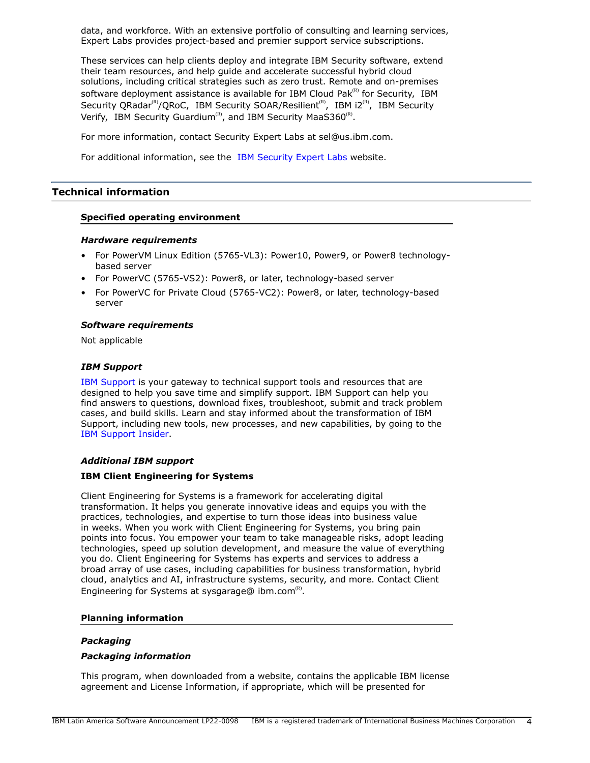data, and workforce. With an extensive portfolio of consulting and learning services, Expert Labs provides project-based and premier support service subscriptions.

These services can help clients deploy and integrate IBM Security software, extend their team resources, and help guide and accelerate successful hybrid cloud solutions, including critical strategies such as zero trust. Remote and on-premises software deployment assistance is available for IBM Cloud Pak $R<sup>(R)</sup>$  for Security, IBM Security QRadar<sup>(R)</sup>/QRoC, IBM Security SOAR/Resilient<sup>(R)</sup>, IBM i2<sup>(R)</sup>, IBM Security Verify, IBM Security Guardium<sup>(R)</sup>, and IBM Security MaaS360<sup>(R)</sup>.

For more information, contact Security Expert Labs at sel@us.ibm.com.

For additional information, see the [IBM Security Expert Labs](https://www.ibm.com/security/security-expert-labs) website.

# <span id="page-3-0"></span>**Technical information**

# **Specified operating environment**

#### *Hardware requirements*

- For PowerVM Linux Edition (5765-VL3): Power10, Power9, or Power8 technologybased server
- For PowerVC (5765-VS2): Power8, or later, technology-based server
- For PowerVC for Private Cloud (5765-VC2): Power8, or later, technology-based server

# *Software requirements*

Not applicable

# *IBM Support*

[IBM Support](https://www.ibm.com/support) is your gateway to technical support tools and resources that are designed to help you save time and simplify support. IBM Support can help you find answers to questions, download fixes, troubleshoot, submit and track problem cases, and build skills. Learn and stay informed about the transformation of IBM Support, including new tools, new processes, and new capabilities, by going to the [IBM Support Insider](https://www.ibm.com/support/insider).

# *Additional IBM support*

# **IBM Client Engineering for Systems**

Client Engineering for Systems is a framework for accelerating digital transformation. It helps you generate innovative ideas and equips you with the practices, technologies, and expertise to turn those ideas into business value in weeks. When you work with Client Engineering for Systems, you bring pain points into focus. You empower your team to take manageable risks, adopt leading technologies, speed up solution development, and measure the value of everything you do. Client Engineering for Systems has experts and services to address a broad array of use cases, including capabilities for business transformation, hybrid cloud, analytics and AI, infrastructure systems, security, and more. Contact Client Engineering for Systems at sysgarage@ ibm.com ${}^{\text{\tiny(R)}}$ .

#### **Planning information**

# *Packaging*

# *Packaging information*

This program, when downloaded from a website, contains the applicable IBM license agreement and License Information, if appropriate, which will be presented for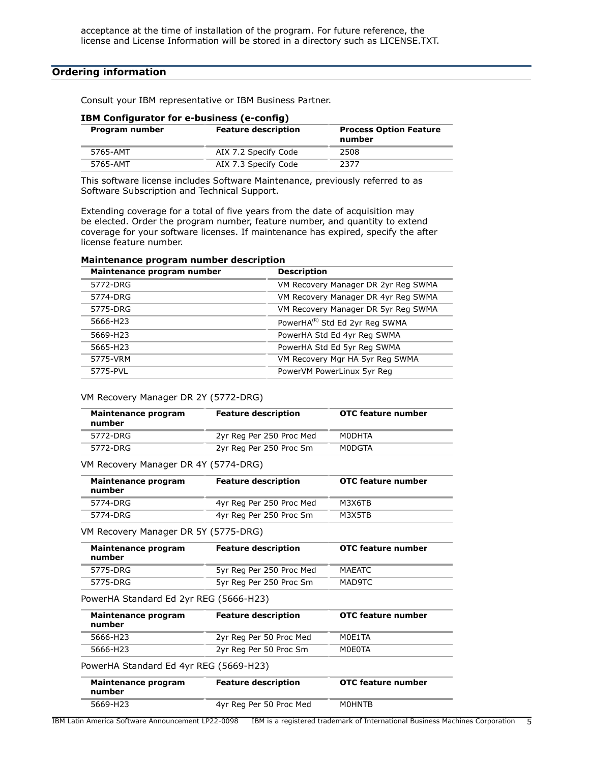# <span id="page-4-0"></span>**Ordering information**

Consult your IBM representative or IBM Business Partner.

| <b>IBM Configurator for e-business (e-config)</b> |                            |                                         |
|---------------------------------------------------|----------------------------|-----------------------------------------|
| Program number                                    | <b>Feature description</b> | <b>Process Option Feature</b><br>number |
| 5765-AMT                                          | AIX 7.2 Specify Code       | 2508                                    |
| 5765-AMT                                          | AIX 7.3 Specify Code       | 2377                                    |

# **IBM Configurator for e-business (e-config)**

This software license includes Software Maintenance, previously referred to as Software Subscription and Technical Support.

Extending coverage for a total of five years from the date of acquisition may be elected. Order the program number, feature number, and quantity to extend coverage for your software licenses. If maintenance has expired, specify the after license feature number.

| Maintenance program number | <b>Description</b>                         |  |
|----------------------------|--------------------------------------------|--|
| 5772-DRG                   | VM Recovery Manager DR 2yr Reg SWMA        |  |
| 5774-DRG                   | VM Recovery Manager DR 4yr Reg SWMA        |  |
| 5775-DRG                   | VM Recovery Manager DR 5yr Reg SWMA        |  |
| 5666-H23                   | PowerHA <sup>(R)</sup> Std Ed 2yr Reg SWMA |  |
| 5669-H23                   | PowerHA Std Ed 4yr Reg SWMA                |  |
| 5665-H23                   | PowerHA Std Ed 5yr Reg SWMA                |  |
| 5775-VRM                   | VM Recovery Mgr HA 5yr Reg SWMA            |  |
| 5775-PVL                   | PowerVM PowerLinux 5yr Reg                 |  |

#### **Maintenance program number description**

#### VM Recovery Manager DR 2Y (5772-DRG)

| Maintenance program<br>number | <b>Feature description</b> | <b>OTC feature number</b> |
|-------------------------------|----------------------------|---------------------------|
| 5772-DRG                      | 2yr Reg Per 250 Proc Med   | M0DHTA                    |
| 5772-DRG                      | 2yr Reg Per 250 Proc Sm    | M0DGTA                    |

#### VM Recovery Manager DR 4Y (5774-DRG)

| Maintenance program<br>number | <b>Feature description</b> | <b>OTC feature number</b> |
|-------------------------------|----------------------------|---------------------------|
| 5774-DRG                      | 4yr Reg Per 250 Proc Med   | M3X6TB                    |
| 5774-DRG                      | 4yr Reg Per 250 Proc Sm    | M3X5TB                    |

VM Recovery Manager DR 5Y (5775-DRG)

| Maintenance program<br>number | <b>Feature description</b> | OTC feature number |
|-------------------------------|----------------------------|--------------------|
| 5775-DRG                      | 5yr Reg Per 250 Proc Med   | MAEATC             |
| 5775-DRG                      | 5yr Reg Per 250 Proc Sm    | MAD9TC             |

#### PowerHA Standard Ed 2yr REG (5666-H23)

| Maintenance program<br>number | <b>Feature description</b> | <b>OTC</b> feature number |
|-------------------------------|----------------------------|---------------------------|
| 5666-H23                      | 2yr Reg Per 50 Proc Med    | MOF1TA                    |
| 5666-H23                      | 2yr Reg Per 50 Proc Sm     | MOFOTA                    |

PowerHA Standard Ed 4yr REG (5669-H23)

| Maintenance program<br>number | <b>Feature description</b> | OTC feature number |
|-------------------------------|----------------------------|--------------------|
| 5669-H23                      | 4yr Reg Per 50 Proc Med    | M0HNTB             |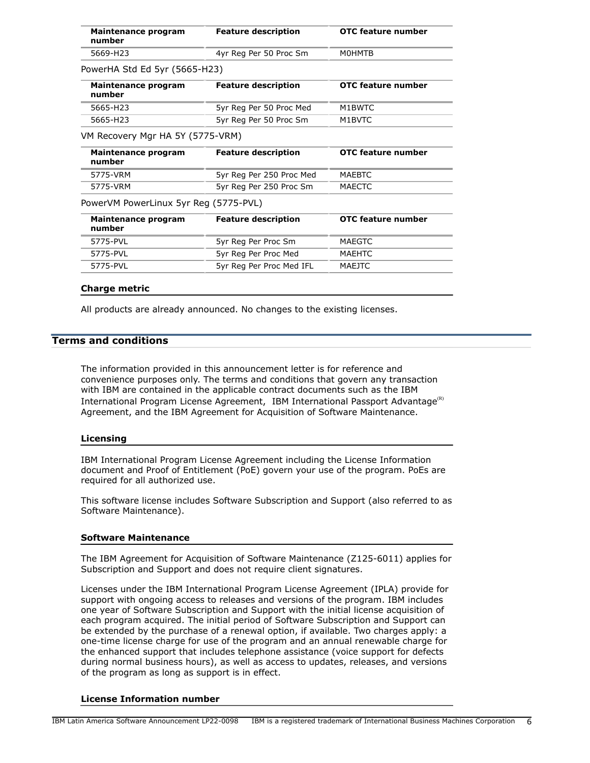| Maintenance program<br>number         | <b>Feature description</b> | OTC feature number |
|---------------------------------------|----------------------------|--------------------|
| 5669-H23                              | 4yr Reg Per 50 Proc Sm     | M0HMTB             |
| PowerHA Std Ed 5yr (5665-H23)         |                            |                    |
| Maintenance program<br>number         | <b>Feature description</b> | OTC feature number |
| 5665-H23                              | 5yr Reg Per 50 Proc Med    | M1BWTC             |
| 5665-H23                              | 5yr Reg Per 50 Proc Sm     | M1BVTC             |
| VM Recovery Mgr HA 5Y (5775-VRM)      |                            |                    |
| Maintenance program<br>number         | <b>Feature description</b> | OTC feature number |
| 5775-VRM                              | 5yr Reg Per 250 Proc Med   | <b>MAFRTC</b>      |
| 5775-VRM                              | 5yr Reg Per 250 Proc Sm    | MAECTC             |
| PowerVM PowerLinux 5yr Reg (5775-PVL) |                            |                    |
| Maintenance program<br>number         | <b>Feature description</b> | OTC feature number |
| 5775-PVL                              | 5yr Reg Per Proc Sm        | <b>MAEGTC</b>      |
| 5775-PVL                              | 5yr Reg Per Proc Med       | MAEHTC             |
| 5775-PVL                              | 5yr Reg Per Proc Med IFL   | MAEJTC             |

#### **Charge metric**

All products are already announced. No changes to the existing licenses.

#### <span id="page-5-0"></span>**Terms and conditions**

The information provided in this announcement letter is for reference and convenience purposes only. The terms and conditions that govern any transaction with IBM are contained in the applicable contract documents such as the IBM International Program License Agreement, IBM International Passport Advantage $(R)$ Agreement, and the IBM Agreement for Acquisition of Software Maintenance.

#### **Licensing**

IBM International Program License Agreement including the License Information document and Proof of Entitlement (PoE) govern your use of the program. PoEs are required for all authorized use.

This software license includes Software Subscription and Support (also referred to as Software Maintenance).

#### **Software Maintenance**

The IBM Agreement for Acquisition of Software Maintenance (Z125-6011) applies for Subscription and Support and does not require client signatures.

Licenses under the IBM International Program License Agreement (IPLA) provide for support with ongoing access to releases and versions of the program. IBM includes one year of Software Subscription and Support with the initial license acquisition of each program acquired. The initial period of Software Subscription and Support can be extended by the purchase of a renewal option, if available. Two charges apply: a one-time license charge for use of the program and an annual renewable charge for the enhanced support that includes telephone assistance (voice support for defects during normal business hours), as well as access to updates, releases, and versions of the program as long as support is in effect.

#### **License Information number**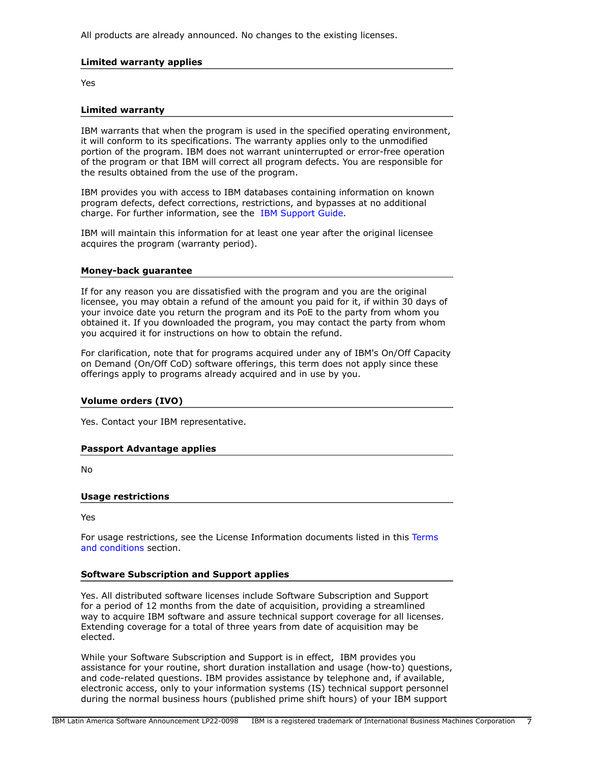All products are already announced. No changes to the existing licenses.

# **Limited warranty applies**

Yes

#### **Limited warranty**

IBM warrants that when the program is used in the specified operating environment, it will conform to its specifications. The warranty applies only to the unmodified portion of the program. IBM does not warrant uninterrupted or error-free operation of the program or that IBM will correct all program defects. You are responsible for the results obtained from the use of the program.

IBM provides you with access to IBM databases containing information on known program defects, defect corrections, restrictions, and bypasses at no additional charge. For further information, see the [IBM Support Guide](http://www.ibm.com/support/customercare/sas/f/handbook/home.html).

IBM will maintain this information for at least one year after the original licensee acquires the program (warranty period).

#### **Money-back guarantee**

If for any reason you are dissatisfied with the program and you are the original licensee, you may obtain a refund of the amount you paid for it, if within 30 days of your invoice date you return the program and its PoE to the party from whom you obtained it. If you downloaded the program, you may contact the party from whom you acquired it for instructions on how to obtain the refund.

For clarification, note that for programs acquired under any of IBM's On/Off Capacity on Demand (On/Off CoD) software offerings, this term does not apply since these offerings apply to programs already acquired and in use by you.

#### **Volume orders (IVO)**

Yes. Contact your IBM representative.

# **Passport Advantage applies**

No

#### **Usage restrictions**

Yes

For usage restrictions, see the License Information documents listed in this [Terms](#page-5-0) [and conditions](#page-5-0) section.

# **Software Subscription and Support applies**

Yes. All distributed software licenses include Software Subscription and Support for a period of 12 months from the date of acquisition, providing a streamlined way to acquire IBM software and assure technical support coverage for all licenses. Extending coverage for a total of three years from date of acquisition may be elected.

While your Software Subscription and Support is in effect, IBM provides you assistance for your routine, short duration installation and usage (how-to) questions, and code-related questions. IBM provides assistance by telephone and, if available, electronic access, only to your information systems (IS) technical support personnel during the normal business hours (published prime shift hours) of your IBM support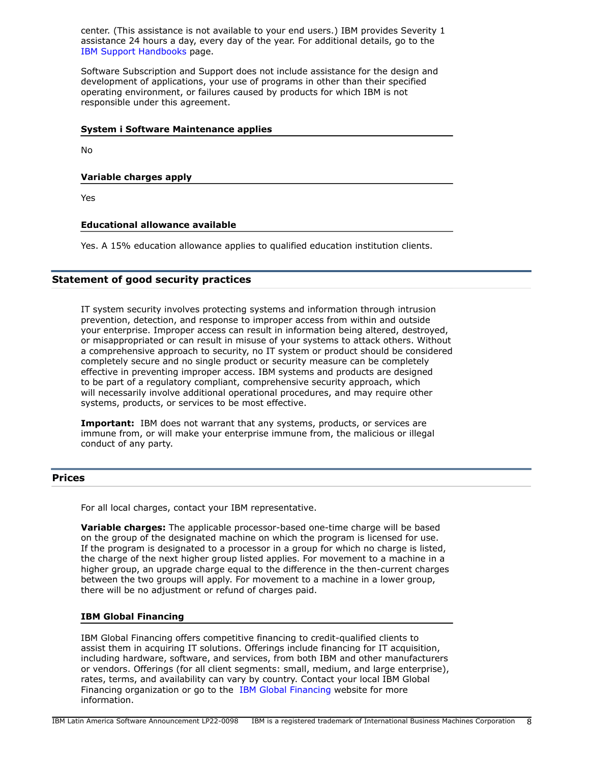center. (This assistance is not available to your end users.) IBM provides Severity 1 assistance 24 hours a day, every day of the year. For additional details, go to the [IBM Support Handbooks](http://www.ibm.com/support/handbook) page.

Software Subscription and Support does not include assistance for the design and development of applications, your use of programs in other than their specified operating environment, or failures caused by products for which IBM is not responsible under this agreement.

#### **System i Software Maintenance applies**

No

#### **Variable charges apply**

Yes

#### **Educational allowance available**

Yes. A 15% education allowance applies to qualified education institution clients.

#### **Statement of good security practices**

IT system security involves protecting systems and information through intrusion prevention, detection, and response to improper access from within and outside your enterprise. Improper access can result in information being altered, destroyed, or misappropriated or can result in misuse of your systems to attack others. Without a comprehensive approach to security, no IT system or product should be considered completely secure and no single product or security measure can be completely effective in preventing improper access. IBM systems and products are designed to be part of a regulatory compliant, comprehensive security approach, which will necessarily involve additional operational procedures, and may require other systems, products, or services to be most effective.

**Important:** IBM does not warrant that any systems, products, or services are immune from, or will make your enterprise immune from, the malicious or illegal conduct of any party.

#### <span id="page-7-0"></span>**Prices**

For all local charges, contact your IBM representative.

**Variable charges:** The applicable processor-based one-time charge will be based on the group of the designated machine on which the program is licensed for use. If the program is designated to a processor in a group for which no charge is listed, the charge of the next higher group listed applies. For movement to a machine in a higher group, an upgrade charge equal to the difference in the then-current charges between the two groups will apply. For movement to a machine in a lower group, there will be no adjustment or refund of charges paid.

#### **IBM Global Financing**

IBM Global Financing offers competitive financing to credit-qualified clients to assist them in acquiring IT solutions. Offerings include financing for IT acquisition, including hardware, software, and services, from both IBM and other manufacturers or vendors. Offerings (for all client segments: small, medium, and large enterprise), rates, terms, and availability can vary by country. Contact your local IBM Global Financing organization or go to the [IBM Global Financing](http://www.ibm.com/financing) website for more information.